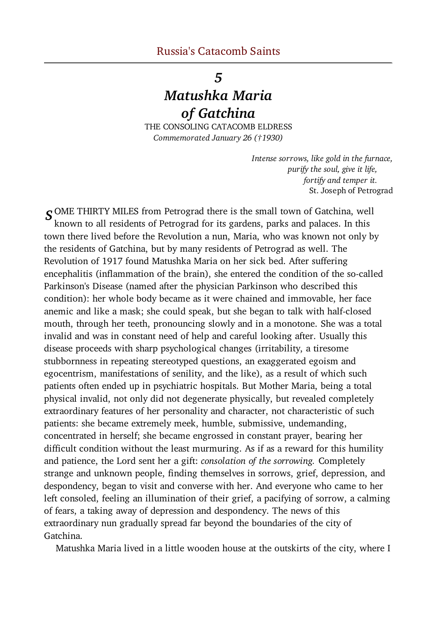## 5

## Matushka Maria of Gatchina

THE CONSOLING CATACOMB ELDRESS Commemorated January 26 (†1930)

> Intense sorrows, like gold in the furnace, purify the soul, give it life, fortify and temper it. St. Joseph of Petrograd

**S** OME THIRTY MILES from Petrograd there is the small town of Gatchina, well known to all residents of Petrograd for its gardens, parks and palaces. In this town there lived before the Revolution a nun, Maria, who was known not only by the residents of Gatchina, but by many residents of Petrograd as well. The Revolution of 1917 found Matushka Maria on her sick bed. After suffering encephalitis (inflammation of the brain), she entered the condition of the so-called Parkinson's Disease (named after the physician Parkinson who described this condition): her whole body became as it were chained and immovable, her face anemic and like a mask; she could speak, but she began to talk with half-closed mouth, through her teeth, pronouncing slowly and in a monotone. She was a total invalid and was in constant need of help and careful looking after. Usually this disease proceeds with sharp psychological changes (irritability, a tiresome stubbornness in repeating stereotyped questions, an exaggerated egoism and egocentrism, manifestations of senility, and the like), as a result of which such patients often ended up in psychiatric hospitals. But Mother Maria, being a total physical invalid, not only did not degenerate physically, but revealed completely extraordinary features of her personality and character, not characteristic of such patients: she became extremely meek, humble, submissive, undemanding, concentrated in herself; she became engrossed in constant prayer, bearing her difficult condition without the least murmuring. As if as a reward for this humility and patience, the Lord sent her a gift: consolation of the sorrowing. Completely strange and unknown people, finding themselves in sorrows, grief, depression, and despondency, began to visit and converse with her. And everyone who came to her left consoled, feeling an illumination of their grief, a pacifying of sorrow, a calming of fears, a taking away of depression and despondency. The news of this extraordinary nun gradually spread far beyond the boundaries of the city of Gatchina.

Matushka Maria lived in a little wooden house at the outskirts of the city, where I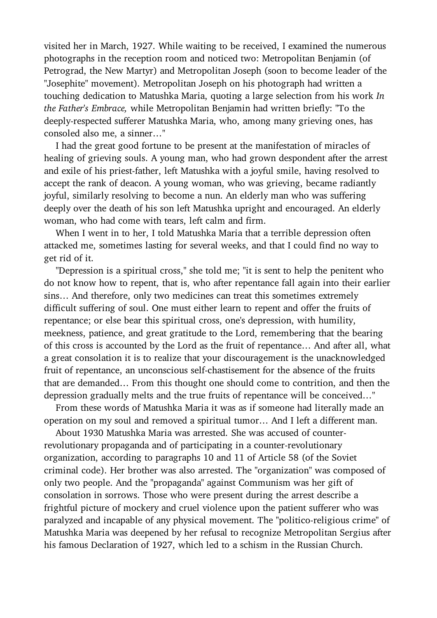visited her in March, 1927. While waiting to be received, I examined the numerous photographs in the reception room and noticed two: Metropolitan Benjamin (of Petrograd, the New Martyr) and Metropolitan Joseph (soon to become leader of the "Josephite" movement). Metropolitan Joseph on his photograph had written a touching dedication to Matushka Maria, quoting a large selection from his work In the Father's Embrace, while Metropolitan Benjamin had written briefly: "To the deeply-respected sufferer Matushka Maria, who, among many grieving ones, has consoled also me, a sinner…"

 I had the great good fortune to be present at the manifestation of miracles of healing of grieving souls. A young man, who had grown despondent after the arrest and exile of his priest-father, left Matushka with a joyful smile, having resolved to accept the rank of deacon. A young woman, who was grieving, became radiantly joyful, similarly resolving to become a nun. An elderly man who was suffering deeply over the death of his son left Matushka upright and encouraged. An elderly woman, who had come with tears, left calm and firm.

 When I went in to her, I told Matushka Maria that a terrible depression often attacked me, sometimes lasting for several weeks, and that I could find no way to get rid of it.

 "Depression is a spiritual cross," she told me; "it is sent to help the penitent who do not know how to repent, that is, who after repentance fall again into their earlier sins… And therefore, only two medicines can treat this sometimes extremely difficult suffering of soul. One must either learn to repent and offer the fruits of repentance; or else bear this spiritual cross, one's depression, with humility, meekness, patience, and great gratitude to the Lord, remembering that the bearing of this cross is accounted by the Lord as the fruit of repentance… And after all, what a great consolation it is to realize that your discouragement is the unacknowledged fruit of repentance, an unconscious self-chastisement for the absence of the fruits that are demanded… From this thought one should come to contrition, and then the depression gradually melts and the true fruits of repentance will be conceived…"

 From these words of Matushka Maria it was as if someone had literally made an operation on my soul and removed a spiritual tumor… And I left a different man.

 About 1930 Matushka Maria was arrested. She was accused of counterrevolutionary propaganda and of participating in a counter-revolutionary organization, according to paragraphs 10 and 11 of Article 58 (of the Soviet criminal code). Her brother was also arrested. The "organization" was composed of only two people. And the "propaganda" against Communism was her gift of consolation in sorrows. Those who were present during the arrest describe a frightful picture of mockery and cruel violence upon the patient sufferer who was paralyzed and incapable of any physical movement. The "politico-religious crime" of Matushka Maria was deepened by her refusal to recognize Metropolitan Sergius after his famous Declaration of 1927, which led to a schism in the Russian Church.